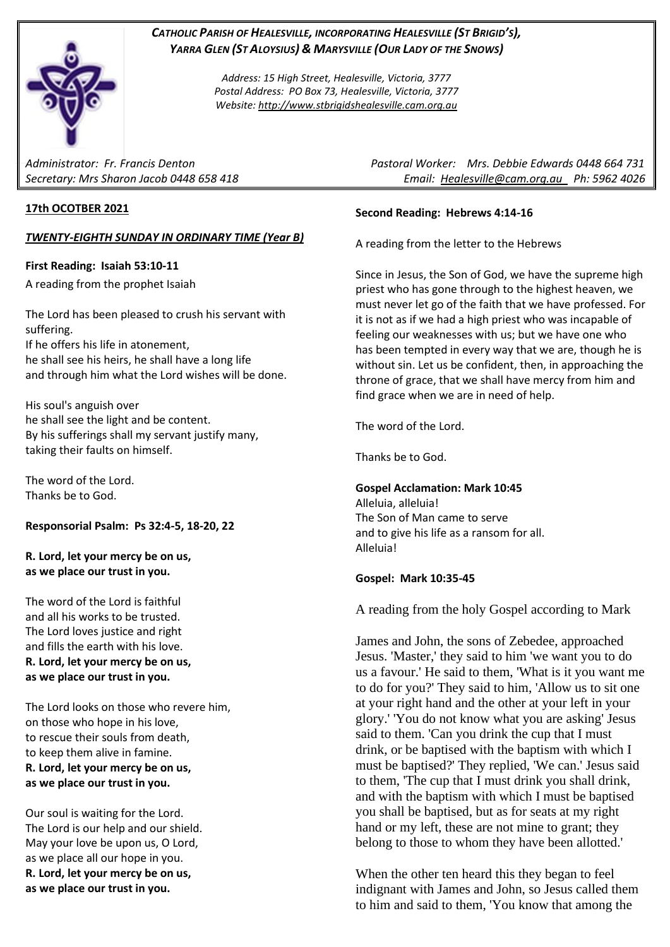

# *CATHOLIC PARISH OF HEALESVILLE, INCORPORATING HEALESVILLE (ST BRIGID'S), YARRA GLEN (ST ALOYSIUS) & MARYSVILLE (OUR LADY OF THE SNOWS)*

*Address: 15 High Street, Healesville, Victoria, 3777 Postal Address: PO Box 73, Healesville, Victoria, 3777 Website: [http://www.stbrigidshealesville.cam.org.au](http://www.stbrigidshealesville.cam.org.au/)*

## **17th OCOTBER 2021**

### *TWENTY-EIGHTH SUNDAY IN ORDINARY TIME (Year B)*

### **First Reading: Isaiah 53:10-11**

A reading from the prophet Isaiah

The Lord has been pleased to crush his servant with suffering. If he offers his life in atonement, he shall see his heirs, he shall have a long life and through him what the Lord wishes will be done.

His soul's anguish over he shall see the light and be content. By his sufferings shall my servant justify many, taking their faults on himself.

The word of the Lord. Thanks be to God.

## **Responsorial Psalm: Ps 32:4-5, 18-20, 22**

**R. Lord, let your mercy be on us, as we place our trust in you.**

The word of the Lord is faithful and all his works to be trusted. The Lord loves justice and right and fills the earth with his love. **R. Lord, let your mercy be on us, as we place our trust in you.**

The Lord looks on those who revere him, on those who hope in his love, to rescue their souls from death, to keep them alive in famine. **R. Lord, let your mercy be on us, as we place our trust in you.**

Our soul is waiting for the Lord. The Lord is our help and our shield. May your love be upon us, O Lord, as we place all our hope in you. **R. Lord, let your mercy be on us, as we place our trust in you.**

*Administrator: Fr. Francis Denton Pastoral Worker: Mrs. Debbie Edwards 0448 664 731 Secretary: Mrs Sharon Jacob 0448 658 418 Email: [Healesville@cam.org.au](mailto:Healesville@cam.org.au) Ph: 5962 4026* 

### **Second Reading: Hebrews 4:14-16**

A reading from the letter to the Hebrews

Since in Jesus, the Son of God, we have the supreme high priest who has gone through to the highest heaven, we must never let go of the faith that we have professed. For it is not as if we had a high priest who was incapable of feeling our weaknesses with us; but we have one who has been tempted in every way that we are, though he is without sin. Let us be confident, then, in approaching the throne of grace, that we shall have mercy from him and find grace when we are in need of help.

The word of the Lord.

Thanks be to God.

**Gospel Acclamation: Mark 10:45**

Alleluia, alleluia! The Son of Man came to serve and to give his life as a ransom for all. Alleluia!

## **Gospel: Mark 10:35-45**

A reading from the holy Gospel according to Mark

James and John, the sons of Zebedee, approached Jesus. 'Master,' they said to him 'we want you to do us a favour.' He said to them, 'What is it you want me to do for you?' They said to him, 'Allow us to sit one at your right hand and the other at your left in your glory.' 'You do not know what you are asking' Jesus said to them. 'Can you drink the cup that I must drink, or be baptised with the baptism with which I must be baptised?' They replied, 'We can.' Jesus said to them, 'The cup that I must drink you shall drink, and with the baptism with which I must be baptised you shall be baptised, but as for seats at my right hand or my left, these are not mine to grant; they belong to those to whom they have been allotted.'

When the other ten heard this they began to feel indignant with James and John, so Jesus called them to him and said to them, 'You know that among the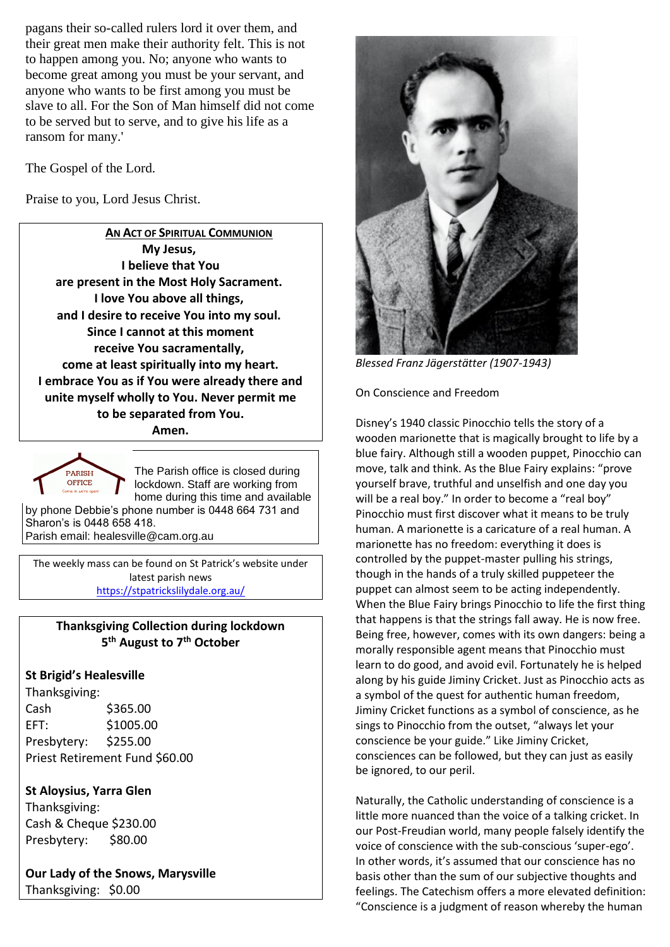pagans their so-called rulers lord it over them, and their great men make their authority felt. This is not to happen among you. No; anyone who wants to become great among you must be your servant, and anyone who wants to be first among you must be slave to all. For the Son of Man himself did not come to be served but to serve, and to give his life as a ransom for many.'

The Gospel of the Lord.

Praise to you, Lord Jesus Christ.

**AN ACT OF SPIRITUAL COMMUNION My Jesus, I believe that You are present in the Most Holy Sacrament. I love You above all things, and I desire to receive You into my soul. Since I cannot at this moment receive You sacramentally, come at least spiritually into my heart. I embrace You as if You were already there and unite myself wholly to You. Never permit me to be separated from You. Amen.**



The Parish office is closed during lockdown. Staff are working from home during this time and available

by phone Debbie's phone number is 0448 664 731 and Sharon's is 0448 658 418. Parish email: healesville@cam.org.au

The weekly mass can be found on St Patrick's website under latest parish news <https://stpatrickslilydale.org.au/>

# **Thanksgiving Collection during lockdown 5 th August to 7th October**

# **St Brigid's Healesville**

Thanksgiving: Cash \$365.00 EFT: \$1005.00 Presbytery: \$255.00 Priest Retirement Fund \$60.00

# **St Aloysius, Yarra Glen**

Thanksgiving: Cash & Cheque \$230.00 Presbytery: \$80.00

**Our Lady of the Snows, Marysville**  Thanksgiving: \$0.00



*Blessed Franz Jägerstätter (1907-1943)*

On Conscience and Freedom

Disney's 1940 classic Pinocchio tells the story of a wooden marionette that is magically brought to life by a blue fairy. Although still a wooden puppet, Pinocchio can move, talk and think. As the Blue Fairy explains: "prove yourself brave, truthful and unselfish and one day you will be a real boy." In order to become a "real boy" Pinocchio must first discover what it means to be truly human. A marionette is a caricature of a real human. A marionette has no freedom: everything it does is controlled by the puppet-master pulling his strings, though in the hands of a truly skilled puppeteer the puppet can almost seem to be acting independently. When the Blue Fairy brings Pinocchio to life the first thing that happens is that the strings fall away. He is now free. Being free, however, comes with its own dangers: being a morally responsible agent means that Pinocchio must learn to do good, and avoid evil. Fortunately he is helped along by his guide Jiminy Cricket. Just as Pinocchio acts as a symbol of the quest for authentic human freedom, Jiminy Cricket functions as a symbol of conscience, as he sings to Pinocchio from the outset, "always let your conscience be your guide." Like Jiminy Cricket, consciences can be followed, but they can just as easily be ignored, to our peril.

Naturally, the Catholic understanding of conscience is a little more nuanced than the voice of a talking cricket. In our Post-Freudian world, many people falsely identify the voice of conscience with the sub-conscious 'super-ego'. In other words, it's assumed that our conscience has no basis other than the sum of our subjective thoughts and feelings. The Catechism offers a more elevated definition: "Conscience is a judgment of reason whereby the human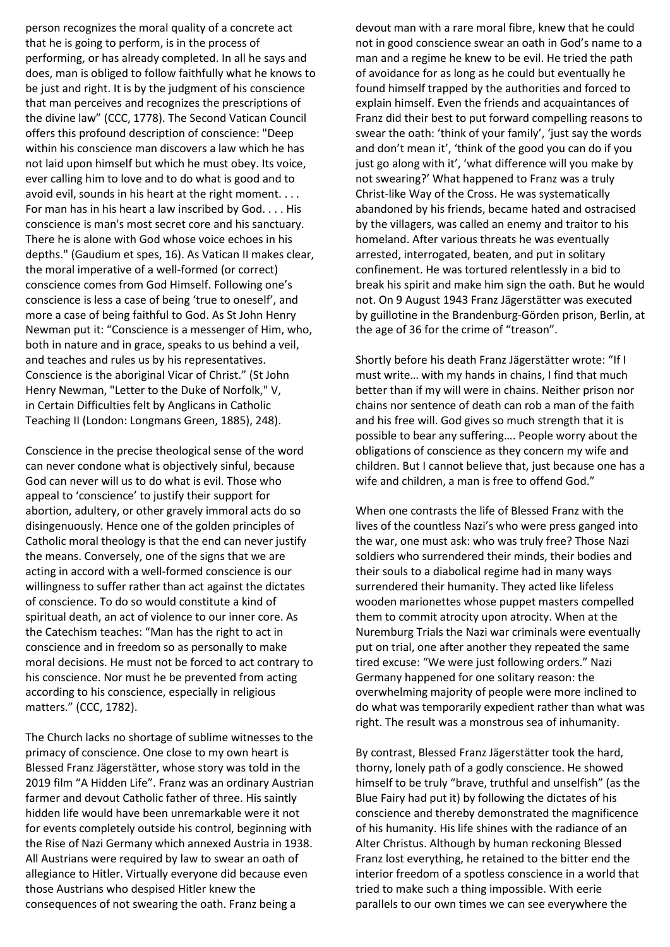person recognizes the moral quality of a concrete act that he is going to perform, is in the process of performing, or has already completed. In all he says and does, man is obliged to follow faithfully what he knows to be just and right. It is by the judgment of his conscience that man perceives and recognizes the prescriptions of the divine law" (CCC, 1778). The Second Vatican Council offers this profound description of conscience: "Deep within his conscience man discovers a law which he has not laid upon himself but which he must obey. Its voice, ever calling him to love and to do what is good and to avoid evil, sounds in his heart at the right moment. . . . For man has in his heart a law inscribed by God. . . . His conscience is man's most secret core and his sanctuary. There he is alone with God whose voice echoes in his depths." (Gaudium et spes, 16). As Vatican II makes clear, the moral imperative of a well-formed (or correct) conscience comes from God Himself. Following one's conscience is less a case of being 'true to oneself', and more a case of being faithful to God. As St John Henry Newman put it: "Conscience is a messenger of Him, who, both in nature and in grace, speaks to us behind a veil, and teaches and rules us by his representatives. Conscience is the aboriginal Vicar of Christ." (St John Henry Newman, "Letter to the Duke of Norfolk," V, in Certain Difficulties felt by Anglicans in Catholic Teaching II (London: Longmans Green, 1885), 248).

Conscience in the precise theological sense of the word can never condone what is objectively sinful, because God can never will us to do what is evil. Those who appeal to 'conscience' to justify their support for abortion, adultery, or other gravely immoral acts do so disingenuously. Hence one of the golden principles of Catholic moral theology is that the end can never justify the means. Conversely, one of the signs that we are acting in accord with a well-formed conscience is our willingness to suffer rather than act against the dictates of conscience. To do so would constitute a kind of spiritual death, an act of violence to our inner core. As the Catechism teaches: "Man has the right to act in conscience and in freedom so as personally to make moral decisions. He must not be forced to act contrary to his conscience. Nor must he be prevented from acting according to his conscience, especially in religious matters." (CCC, 1782).

The Church lacks no shortage of sublime witnesses to the primacy of conscience. One close to my own heart is Blessed Franz Jägerstätter, whose story was told in the 2019 film "A Hidden Life". Franz was an ordinary Austrian farmer and devout Catholic father of three. His saintly hidden life would have been unremarkable were it not for events completely outside his control, beginning with the Rise of Nazi Germany which annexed Austria in 1938. All Austrians were required by law to swear an oath of allegiance to Hitler. Virtually everyone did because even those Austrians who despised Hitler knew the consequences of not swearing the oath. Franz being a

devout man with a rare moral fibre, knew that he could not in good conscience swear an oath in God's name to a man and a regime he knew to be evil. He tried the path of avoidance for as long as he could but eventually he found himself trapped by the authorities and forced to explain himself. Even the friends and acquaintances of Franz did their best to put forward compelling reasons to swear the oath: 'think of your family', 'just say the words and don't mean it', 'think of the good you can do if you just go along with it', 'what difference will you make by not swearing?' What happened to Franz was a truly Christ-like Way of the Cross. He was systematically abandoned by his friends, became hated and ostracised by the villagers, was called an enemy and traitor to his homeland. After various threats he was eventually arrested, interrogated, beaten, and put in solitary confinement. He was tortured relentlessly in a bid to break his spirit and make him sign the oath. But he would not. On 9 August 1943 Franz Jägerstätter was executed by guillotine in the Brandenburg-Görden prison, Berlin, at the age of 36 for the crime of "treason".

Shortly before his death Franz Jägerstätter wrote: "If I must write… with my hands in chains, I find that much better than if my will were in chains. Neither prison nor chains nor sentence of death can rob a man of the faith and his free will. God gives so much strength that it is possible to bear any suffering…. People worry about the obligations of conscience as they concern my wife and children. But I cannot believe that, just because one has a wife and children, a man is free to offend God."

When one contrasts the life of Blessed Franz with the lives of the countless Nazi's who were press ganged into the war, one must ask: who was truly free? Those Nazi soldiers who surrendered their minds, their bodies and their souls to a diabolical regime had in many ways surrendered their humanity. They acted like lifeless wooden marionettes whose puppet masters compelled them to commit atrocity upon atrocity. When at the Nuremburg Trials the Nazi war criminals were eventually put on trial, one after another they repeated the same tired excuse: "We were just following orders." Nazi Germany happened for one solitary reason: the overwhelming majority of people were more inclined to do what was temporarily expedient rather than what was right. The result was a monstrous sea of inhumanity.

By contrast, Blessed Franz Jägerstätter took the hard, thorny, lonely path of a godly conscience. He showed himself to be truly "brave, truthful and unselfish" (as the Blue Fairy had put it) by following the dictates of his conscience and thereby demonstrated the magnificence of his humanity. His life shines with the radiance of an Alter Christus. Although by human reckoning Blessed Franz lost everything, he retained to the bitter end the interior freedom of a spotless conscience in a world that tried to make such a thing impossible. With eerie parallels to our own times we can see everywhere the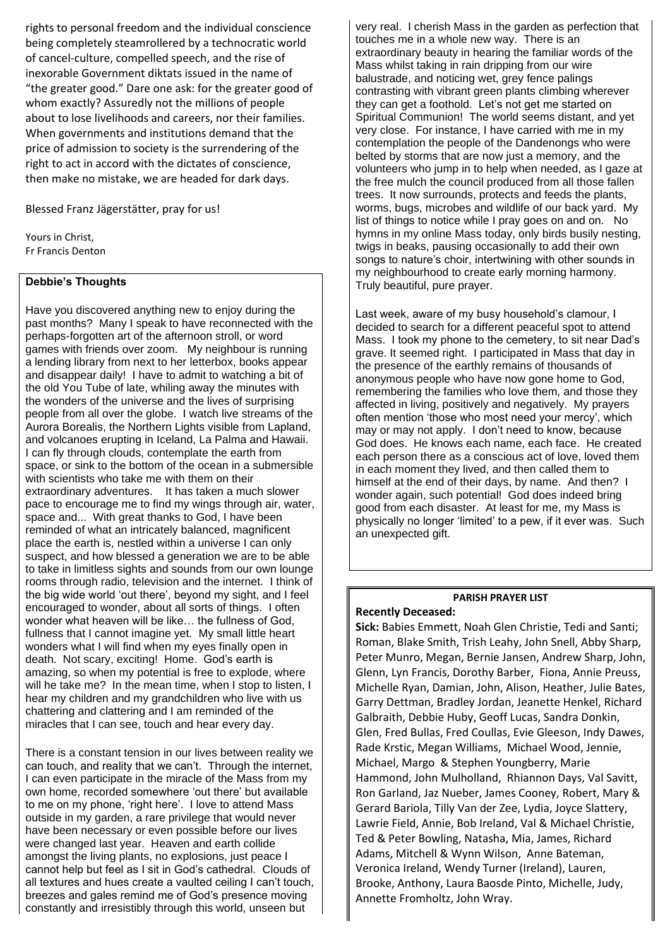rights to personal freedom and the individual conscience being completely steamrollered by a technocratic world of cancel-culture, compelled speech, and the rise of inexorable Government diktats issued in the name of "the greater good." Dare one ask: for the greater good of whom exactly? Assuredly not the millions of people about to lose livelihoods and careers, nor their families. When governments and institutions demand that the price of admission to society is the surrendering of the right to act in accord with the dictates of conscience, then make no mistake, we are headed for dark days.

Blessed Franz Jägerstätter, pray for us!

Yours in Christ, Fr Francis Denton

#### **Debbie's Thoughts**

Have you discovered anything new to enjoy during the past months? Many I speak to have reconnected with the perhaps-forgotten art of the afternoon stroll, or word games with friends over zoom. My neighbour is running a lending library from next to her letterbox, books appear and disappear daily! I have to admit to watching a bit of the old You Tube of late, whiling away the minutes with the wonders of the universe and the lives of surprising people from all over the globe. I watch live streams of the Aurora Borealis, the Northern Lights visible from Lapland, and volcanoes erupting in Iceland, La Palma and Hawaii. I can fly through clouds, contemplate the earth from space, or sink to the bottom of the ocean in a submersible with scientists who take me with them on their extraordinary adventures. It has taken a much slower pace to encourage me to find my wings through air, water, space and... With great thanks to God, I have been reminded of what an intricately balanced, magnificent place the earth is, nestled within a universe I can only suspect, and how blessed a generation we are to be able to take in limitless sights and sounds from our own lounge rooms through radio, television and the internet. I think of the big wide world 'out there', beyond my sight, and I feel encouraged to wonder, about all sorts of things. I often wonder what heaven will be like… the fullness of God, fullness that I cannot imagine yet. My small little heart wonders what I will find when my eyes finally open in death. Not scary, exciting! Home. God's earth is amazing, so when my potential is free to explode, where will he take me? In the mean time, when I stop to listen, I hear my children and my grandchildren who live with us chattering and clattering and I am reminded of the miracles that I can see, touch and hear every day.

There is a constant tension in our lives between reality we can touch, and reality that we can't. Through the internet, I can even participate in the miracle of the Mass from my own home, recorded somewhere 'out there' but available to me on my phone, 'right here'. I love to attend Mass outside in my garden, a rare privilege that would never have been necessary or even possible before our lives were changed last year. Heaven and earth collide amongst the living plants, no explosions, just peace I cannot help but feel as I sit in God's cathedral. Clouds of all textures and hues create a vaulted ceiling I can't touch, breezes and gales remind me of God's presence moving constantly and irresistibly through this world, unseen but

very real. I cherish Mass in the garden as perfection that touches me in a whole new way. There is an extraordinary beauty in hearing the familiar words of the Mass whilst taking in rain dripping from our wire balustrade, and noticing wet, grey fence palings contrasting with vibrant green plants climbing wherever they can get a foothold. Let's not get me started on Spiritual Communion! The world seems distant, and yet very close. For instance, I have carried with me in my contemplation the people of the Dandenongs who were belted by storms that are now just a memory, and the volunteers who jump in to help when needed, as I gaze at the free mulch the council produced from all those fallen trees. It now surrounds, protects and feeds the plants, worms, bugs, microbes and wildlife of our back yard. My list of things to notice while I pray goes on and on. No hymns in my online Mass today, only birds busily nesting, twigs in beaks, pausing occasionally to add their own songs to nature's choir, intertwining with other sounds in my neighbourhood to create early morning harmony. Truly beautiful, pure prayer.

Last week, aware of my busy household's clamour, I decided to search for a different peaceful spot to attend Mass. I took my phone to the cemetery, to sit near Dad's grave. It seemed right. I participated in Mass that day in the presence of the earthly remains of thousands of anonymous people who have now gone home to God, remembering the families who love them, and those they affected in living, positively and negatively. My prayers often mention 'those who most need your mercy', which may or may not apply. I don't need to know, because God does. He knows each name, each face. He created each person there as a conscious act of love, loved them in each moment they lived, and then called them to himself at the end of their days, by name. And then? I wonder again, such potential! God does indeed bring good from each disaster. At least for me, my Mass is physically no longer 'limited' to a pew, if it ever was. Such an unexpected gift.

# **PARISH PRAYER LIST**

#### **Recently Deceased:**

**Sick:** Babies Emmett, Noah Glen Christie, Tedi and Santi; Roman, Blake Smith, Trish Leahy, John Snell, Abby Sharp, Peter Munro, Megan, Bernie Jansen, Andrew Sharp, John, Glenn, Lyn Francis, Dorothy Barber, Fiona, Annie Preuss, Michelle Ryan, Damian, John, Alison, Heather, Julie Bates, Garry Dettman, Bradley Jordan, Jeanette Henkel, Richard Galbraith, Debbie Huby, Geoff Lucas, Sandra Donkin, Glen, Fred Bullas, Fred Coullas, Evie Gleeson, Indy Dawes, Rade Krstic, Megan Williams, Michael Wood, Jennie, Michael, Margo & Stephen Youngberry, Marie Hammond, John Mulholland, Rhiannon Days, Val Savitt, Ron Garland, Jaz Nueber, James Cooney, Robert, Mary & Gerard Bariola, Tilly Van der Zee, Lydia, Joyce Slattery, Lawrie Field, Annie, Bob Ireland, Val & Michael Christie, Ted & Peter Bowling, Natasha, Mia, James, Richard Adams, Mitchell & Wynn Wilson, Anne Bateman, Veronica Ireland, Wendy Turner (Ireland), Lauren, Brooke, Anthony, Laura Baosde Pinto, Michelle, Judy, Annette Fromholtz, John Wray.